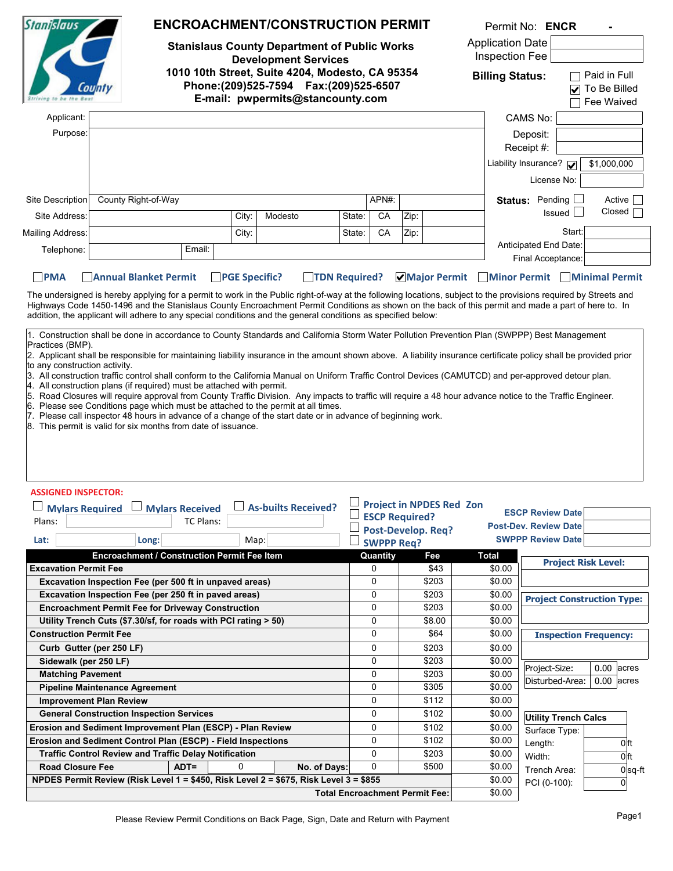| <b>Stanislaus</b>                                                                     |                                                                                                                                                                                                                                                                                                                                                                                                                                                                                                                                                                                                                                                                  | <b>ENCROACHMENT/CONSTRUCTION PERMIT</b><br><b>Stanislaus County Department of Public Works</b><br><b>Development Services</b><br>1010 10th Street, Suite 4204, Modesto, CA 95354<br>E-mail: pwpermits@stancounty.com |          |                            |                       |                                         |                                 | Permit No: ENCR                                                                                     |                                            |                                   |  |
|---------------------------------------------------------------------------------------|------------------------------------------------------------------------------------------------------------------------------------------------------------------------------------------------------------------------------------------------------------------------------------------------------------------------------------------------------------------------------------------------------------------------------------------------------------------------------------------------------------------------------------------------------------------------------------------------------------------------------------------------------------------|----------------------------------------------------------------------------------------------------------------------------------------------------------------------------------------------------------------------|----------|----------------------------|-----------------------|-----------------------------------------|---------------------------------|-----------------------------------------------------------------------------------------------------|--------------------------------------------|-----------------------------------|--|
|                                                                                       | County                                                                                                                                                                                                                                                                                                                                                                                                                                                                                                                                                                                                                                                           |                                                                                                                                                                                                                      |          |                            |                       |                                         |                                 | <b>Application Date</b><br>Inspection Fee<br>Paid in Full<br><b>Billing Status:</b><br>To Be Billed |                                            |                                   |  |
| Applicant:                                                                            |                                                                                                                                                                                                                                                                                                                                                                                                                                                                                                                                                                                                                                                                  |                                                                                                                                                                                                                      |          |                            |                       |                                         |                                 |                                                                                                     | CAMS No:                                   | Fee Waived                        |  |
|                                                                                       |                                                                                                                                                                                                                                                                                                                                                                                                                                                                                                                                                                                                                                                                  |                                                                                                                                                                                                                      |          |                            |                       |                                         |                                 |                                                                                                     |                                            |                                   |  |
| Purpose:                                                                              |                                                                                                                                                                                                                                                                                                                                                                                                                                                                                                                                                                                                                                                                  |                                                                                                                                                                                                                      |          |                            |                       |                                         |                                 |                                                                                                     | Deposit:                                   |                                   |  |
|                                                                                       |                                                                                                                                                                                                                                                                                                                                                                                                                                                                                                                                                                                                                                                                  |                                                                                                                                                                                                                      |          |                            |                       |                                         |                                 |                                                                                                     | Receipt #:                                 |                                   |  |
|                                                                                       |                                                                                                                                                                                                                                                                                                                                                                                                                                                                                                                                                                                                                                                                  |                                                                                                                                                                                                                      |          |                            |                       |                                         |                                 |                                                                                                     | Liability Insurance?                       | \$1,000,000                       |  |
|                                                                                       |                                                                                                                                                                                                                                                                                                                                                                                                                                                                                                                                                                                                                                                                  |                                                                                                                                                                                                                      |          |                            |                       |                                         |                                 |                                                                                                     | License No:                                |                                   |  |
| Site Description                                                                      | County Right-of-Way                                                                                                                                                                                                                                                                                                                                                                                                                                                                                                                                                                                                                                              |                                                                                                                                                                                                                      |          |                            |                       | APN#:                                   |                                 |                                                                                                     | Status: Pending                            | Active                            |  |
| Site Address:                                                                         |                                                                                                                                                                                                                                                                                                                                                                                                                                                                                                                                                                                                                                                                  |                                                                                                                                                                                                                      | City:    | Modesto                    | State:                | CA                                      |                                 |                                                                                                     | Issued I                                   | Closed                            |  |
|                                                                                       |                                                                                                                                                                                                                                                                                                                                                                                                                                                                                                                                                                                                                                                                  |                                                                                                                                                                                                                      |          |                            |                       |                                         | Zip:                            |                                                                                                     |                                            |                                   |  |
| Mailing Address:                                                                      |                                                                                                                                                                                                                                                                                                                                                                                                                                                                                                                                                                                                                                                                  |                                                                                                                                                                                                                      | City:    |                            | State:                | СA                                      | Zip:                            |                                                                                                     | Start:                                     |                                   |  |
| Telephone:                                                                            |                                                                                                                                                                                                                                                                                                                                                                                                                                                                                                                                                                                                                                                                  | Email:                                                                                                                                                                                                               |          |                            |                       |                                         |                                 |                                                                                                     | Anticipated End Date:<br>Final Acceptance: |                                   |  |
|                                                                                       |                                                                                                                                                                                                                                                                                                                                                                                                                                                                                                                                                                                                                                                                  |                                                                                                                                                                                                                      |          |                            |                       |                                         |                                 |                                                                                                     |                                            |                                   |  |
| to any construction activity.<br><b>ASSIGNED INSPECTOR:</b><br><b>Mylars Required</b> | 3. All construction traffic control shall conform to the California Manual on Uniform Traffic Control Devices (CAMUTCD) and per-approved detour plan.<br>4. All construction plans (if required) must be attached with permit.<br>5. Road Closures will require approval from County Traffic Division. Any impacts to traffic will require a 48 hour advance notice to the Traffic Engineer.<br>6. Please see Conditions page which must be attached to the permit at all times.<br>7. Please call inspector 48 hours in advance of a change of the start date or in advance of beginning work.<br>8. This permit is valid for six months from date of issuance. | <b>Mylars Received</b>                                                                                                                                                                                               |          | <b>As-builts Received?</b> |                       |                                         | <b>Project in NPDES Red Zon</b> |                                                                                                     | <b>ESCP Review Date</b>                    |                                   |  |
| TC Plans:<br>Plans:                                                                   |                                                                                                                                                                                                                                                                                                                                                                                                                                                                                                                                                                                                                                                                  |                                                                                                                                                                                                                      |          |                            | <b>ESCP Required?</b> |                                         |                                 | <b>Post-Dev. Review Date</b>                                                                        |                                            |                                   |  |
| Long:<br>Lat:<br>Map:                                                                 |                                                                                                                                                                                                                                                                                                                                                                                                                                                                                                                                                                                                                                                                  |                                                                                                                                                                                                                      |          |                            |                       | Post-Develop. Req?<br><b>SWPPP Req?</b> |                                 |                                                                                                     | <b>SWPPP Review Date</b>                   |                                   |  |
|                                                                                       | Encroachment / Construction Permit Fee Item                                                                                                                                                                                                                                                                                                                                                                                                                                                                                                                                                                                                                      |                                                                                                                                                                                                                      |          |                            |                       | Quantity                                | Fee                             | <b>Total</b>                                                                                        |                                            |                                   |  |
| <b>Excavation Permit Fee</b>                                                          |                                                                                                                                                                                                                                                                                                                                                                                                                                                                                                                                                                                                                                                                  |                                                                                                                                                                                                                      |          |                            |                       | 0                                       | \$43                            | \$0.00                                                                                              |                                            | <b>Project Risk Level:</b>        |  |
|                                                                                       | Excavation Inspection Fee (per 500 ft in unpaved areas)                                                                                                                                                                                                                                                                                                                                                                                                                                                                                                                                                                                                          |                                                                                                                                                                                                                      |          |                            |                       | 0                                       | \$203                           | \$0.00                                                                                              |                                            |                                   |  |
|                                                                                       | Excavation Inspection Fee (per 250 ft in paved areas)                                                                                                                                                                                                                                                                                                                                                                                                                                                                                                                                                                                                            |                                                                                                                                                                                                                      |          |                            |                       | 0                                       | \$203                           | \$0.00                                                                                              |                                            | <b>Project Construction Type:</b> |  |
|                                                                                       | <b>Encroachment Permit Fee for Driveway Construction</b>                                                                                                                                                                                                                                                                                                                                                                                                                                                                                                                                                                                                         |                                                                                                                                                                                                                      |          |                            |                       | 0                                       | \$203                           | \$0.00                                                                                              |                                            |                                   |  |
|                                                                                       | Utility Trench Cuts (\$7.30/sf, for roads with PCI rating > 50)                                                                                                                                                                                                                                                                                                                                                                                                                                                                                                                                                                                                  |                                                                                                                                                                                                                      |          |                            |                       | 0                                       | \$8.00                          | \$0.00                                                                                              |                                            |                                   |  |
| <b>Construction Permit Fee</b>                                                        |                                                                                                                                                                                                                                                                                                                                                                                                                                                                                                                                                                                                                                                                  |                                                                                                                                                                                                                      |          |                            |                       | 0                                       | \$64                            | \$0.00                                                                                              | <b>Inspection Frequency:</b>               |                                   |  |
|                                                                                       | Curb Gutter (per 250 LF)                                                                                                                                                                                                                                                                                                                                                                                                                                                                                                                                                                                                                                         |                                                                                                                                                                                                                      |          |                            |                       | 0                                       | \$203                           | \$0.00                                                                                              |                                            |                                   |  |
| Sidewalk (per 250 LF)                                                                 |                                                                                                                                                                                                                                                                                                                                                                                                                                                                                                                                                                                                                                                                  |                                                                                                                                                                                                                      |          | 0                          | \$203                 | \$0.00                                  |                                 |                                                                                                     |                                            |                                   |  |
| <b>Matching Pavement</b>                                                              |                                                                                                                                                                                                                                                                                                                                                                                                                                                                                                                                                                                                                                                                  |                                                                                                                                                                                                                      |          |                            |                       |                                         |                                 |                                                                                                     |                                            |                                   |  |
|                                                                                       | <b>Pipeline Maintenance Agreement</b>                                                                                                                                                                                                                                                                                                                                                                                                                                                                                                                                                                                                                            |                                                                                                                                                                                                                      |          |                            |                       | 0                                       | \$203                           | \$0.00                                                                                              | Project-Size:                              | $0.00$ acres                      |  |
|                                                                                       |                                                                                                                                                                                                                                                                                                                                                                                                                                                                                                                                                                                                                                                                  |                                                                                                                                                                                                                      |          |                            |                       | 0                                       | \$305                           | \$0.00                                                                                              | Disturbed-Area:                            | $0.00$ acres                      |  |
|                                                                                       | <b>Improvement Plan Review</b>                                                                                                                                                                                                                                                                                                                                                                                                                                                                                                                                                                                                                                   |                                                                                                                                                                                                                      |          |                            |                       | 0                                       | \$112                           | \$0.00                                                                                              |                                            |                                   |  |
|                                                                                       | <b>General Construction Inspection Services</b>                                                                                                                                                                                                                                                                                                                                                                                                                                                                                                                                                                                                                  |                                                                                                                                                                                                                      |          |                            |                       | 0                                       | \$102                           | \$0.00                                                                                              | <b>Utility Trench Calcs</b>                |                                   |  |
|                                                                                       | Erosion and Sediment Improvement Plan (ESCP) - Plan Review                                                                                                                                                                                                                                                                                                                                                                                                                                                                                                                                                                                                       |                                                                                                                                                                                                                      |          |                            |                       | 0                                       | \$102                           | \$0.00                                                                                              | Surface Type:                              |                                   |  |
|                                                                                       | Erosion and Sediment Control Plan (ESCP) - Field Inspections                                                                                                                                                                                                                                                                                                                                                                                                                                                                                                                                                                                                     |                                                                                                                                                                                                                      |          |                            |                       | 0                                       | \$102                           | \$0.00                                                                                              |                                            | 0 <sup>ft</sup>                   |  |
|                                                                                       | <b>Traffic Control Review and Traffic Delay Notification</b>                                                                                                                                                                                                                                                                                                                                                                                                                                                                                                                                                                                                     |                                                                                                                                                                                                                      |          |                            |                       | 0                                       | \$203                           | \$0.00                                                                                              | Length:<br>Width:                          | 0 ft                              |  |
| <b>Road Closure Fee</b>                                                               |                                                                                                                                                                                                                                                                                                                                                                                                                                                                                                                                                                                                                                                                  | $ADT =$                                                                                                                                                                                                              | $\Omega$ | No. of Days:               |                       | 0                                       | \$500                           | \$0.00                                                                                              | Trench Area:                               | $0 sq-ft $                        |  |
|                                                                                       | NPDES Permit Review (Risk Level 1 = \$450, Risk Level 2 = \$675, Risk Level 3 = \$855                                                                                                                                                                                                                                                                                                                                                                                                                                                                                                                                                                            |                                                                                                                                                                                                                      |          |                            |                       |                                         |                                 | \$0.00                                                                                              | PCI (0-100):                               | 0                                 |  |